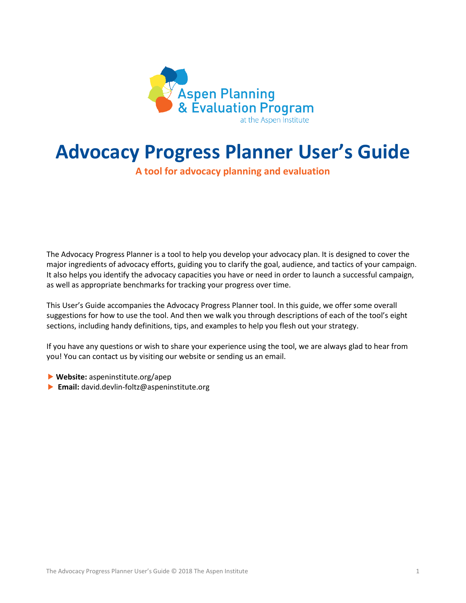

# **Advocacy Progress Planner User's Guide**

## **A tool for advocacy planning and evaluation**

The Advocacy Progress Planner is a tool to help you develop your advocacy plan. It is designed to cover the major ingredients of advocacy efforts, guiding you to clarify the goal, audience, and tactics of your campaign. It also helps you identify the advocacy capacities you have or need in order to launch a successful campaign, as well as appropriate benchmarks for tracking your progress over time.

This User's Guide accompanies the Advocacy Progress Planner tool. In this guide, we offer some overall suggestions for how to use the tool. And then we walk you through descriptions of each of the tool's eight sections, including handy definitions, tips, and examples to help you flesh out your strategy.

If you have any questions or wish to share your experience using the tool, we are always glad to hear from you! You can contact us by visiting our website or sending us an email.

- **Website:** aspeninstitute.org/apep
- **Email:** david.devlin-foltz@aspeninstitute.org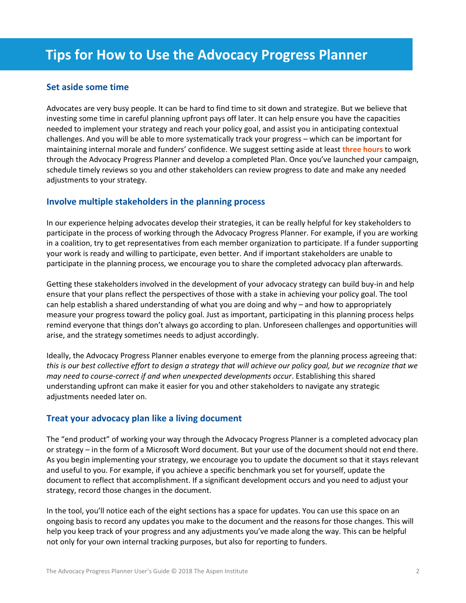## **Set aside some time**

Advocates are very busy people. It can be hard to find time to sit down and strategize. But we believe that investing some time in careful planning upfront pays off later. It can help ensure you have the capacities needed to implement your strategy and reach your policy goal, and assist you in anticipating contextual challenges. And you will be able to more systematically track your progress – which can be important for maintaining internal morale and funders' confidence. We suggest setting aside at least **three hours** to work through the Advocacy Progress Planner and develop a completed Plan. Once you've launched your campaign, schedule timely reviews so you and other stakeholders can review progress to date and make any needed adjustments to your strategy.

## **Involve multiple stakeholders in the planning process**

In our experience helping advocates develop their strategies, it can be really helpful for key stakeholders to participate in the process of working through the Advocacy Progress Planner. For example, if you are working in a coalition, try to get representatives from each member organization to participate. If a funder supporting your work is ready and willing to participate, even better. And if important stakeholders are unable to participate in the planning process, we encourage you to share the completed advocacy plan afterwards.

Getting these stakeholders involved in the development of your advocacy strategy can build buy-in and help ensure that your plans reflect the perspectives of those with a stake in achieving your policy goal. The tool can help establish a shared understanding of what you are doing and why – and how to appropriately measure your progress toward the policy goal. Just as important, participating in this planning process helps remind everyone that things don't always go according to plan. Unforeseen challenges and opportunities will arise, and the strategy sometimes needs to adjust accordingly.

Ideally, the Advocacy Progress Planner enables everyone to emerge from the planning process agreeing that: *this is our best collective effort to design a strategy that will achieve our policy goal, but we recognize that we may need to course-correct if and when unexpected developments occur*. Establishing this shared understanding upfront can make it easier for you and other stakeholders to navigate any strategic adjustments needed later on.

## **Treat your advocacy plan like a living document**

The "end product" of working your way through the Advocacy Progress Planner is a completed advocacy plan or strategy – in the form of a Microsoft Word document. But your use of the document should not end there. As you begin implementing your strategy, we encourage you to update the document so that it stays relevant and useful to you. For example, if you achieve a specific benchmark you set for yourself, update the document to reflect that accomplishment. If a significant development occurs and you need to adjust your strategy, record those changes in the document.

In the tool, you'll notice each of the eight sections has a space for updates. You can use this space on an ongoing basis to record any updates you make to the document and the reasons for those changes. This will help you keep track of your progress and any adjustments you've made along the way. This can be helpful not only for your own internal tracking purposes, but also for reporting to funders.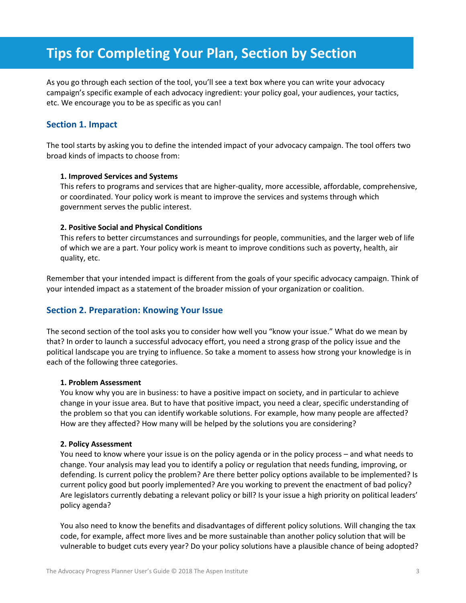## **Tips for Completing Your Plan, Section by Section**

As you go through each section of the tool, you'll see a text box where you can write your advocacy campaign's specific example of each advocacy ingredient: your policy goal, your audiences, your tactics, etc. We encourage you to be as specific as you can!

## **Section 1. Impact**

The tool starts by asking you to define the intended impact of your advocacy campaign. The tool offers two broad kinds of impacts to choose from:

#### **1. Improved Services and Systems**

This refers to programs and services that are higher-quality, more accessible, affordable, comprehensive, or coordinated. Your policy work is meant to improve the services and systems through which government serves the public interest.

#### **2. Positive Social and Physical Conditions**

This refers to better circumstances and surroundings for people, communities, and the larger web of life of which we are a part. Your policy work is meant to improve conditions such as poverty, health, air quality, etc.

Remember that your intended impact is different from the goals of your specific advocacy campaign. Think of your intended impact as a statement of the broader mission of your organization or coalition.

## **Section 2. Preparation: Knowing Your Issue**

The second section of the tool asks you to consider how well you "know your issue." What do we mean by that? In order to launch a successful advocacy effort, you need a strong grasp of the policy issue and the political landscape you are trying to influence. So take a moment to assess how strong your knowledge is in each of the following three categories.

#### **1. Problem Assessment**

You know why you are in business: to have a positive impact on society, and in particular to achieve change in your issue area. But to have that positive impact, you need a clear, specific understanding of the problem so that you can identify workable solutions. For example, how many people are affected? How are they affected? How many will be helped by the solutions you are considering?

#### **2. Policy Assessment**

You need to know where your issue is on the policy agenda or in the policy process – and what needs to change. Your analysis may lead you to identify a policy or regulation that needs funding, improving, or defending. Is current policy the problem? Are there better policy options available to be implemented? Is current policy good but poorly implemented? Are you working to prevent the enactment of bad policy? Are legislators currently debating a relevant policy or bill? Is your issue a high priority on political leaders' policy agenda?

You also need to know the benefits and disadvantages of different policy solutions. Will changing the tax code, for example, affect more lives and be more sustainable than another policy solution that will be vulnerable to budget cuts every year? Do your policy solutions have a plausible chance of being adopted?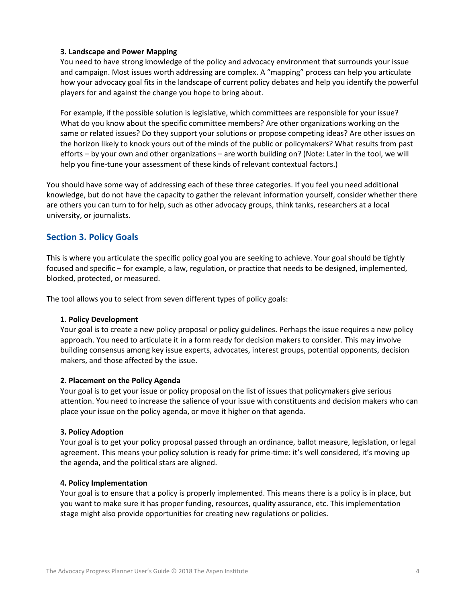#### **3. Landscape and Power Mapping**

You need to have strong knowledge of the policy and advocacy environment that surrounds your issue and campaign. Most issues worth addressing are complex. A "mapping" process can help you articulate how your advocacy goal fits in the landscape of current policy debates and help you identify the powerful players for and against the change you hope to bring about.

For example, if the possible solution is legislative, which committees are responsible for your issue? What do you know about the specific committee members? Are other organizations working on the same or related issues? Do they support your solutions or propose competing ideas? Are other issues on the horizon likely to knock yours out of the minds of the public or policymakers? What results from past efforts – by your own and other organizations – are worth building on? (Note: Later in the tool, we will help you fine-tune your assessment of these kinds of relevant contextual factors.)

You should have some way of addressing each of these three categories. If you feel you need additional knowledge, but do not have the capacity to gather the relevant information yourself, consider whether there are others you can turn to for help, such as other advocacy groups, think tanks, researchers at a local university, or journalists.

## **Section 3. Policy Goals**

This is where you articulate the specific policy goal you are seeking to achieve. Your goal should be tightly focused and specific – for example, a law, regulation, or practice that needs to be designed, implemented, blocked, protected, or measured.

The tool allows you to select from seven different types of policy goals:

#### **1. Policy Development**

Your goal is to create a new policy proposal or policy guidelines. Perhaps the issue requires a new policy approach. You need to articulate it in a form ready for decision makers to consider. This may involve building consensus among key issue experts, advocates, interest groups, potential opponents, decision makers, and those affected by the issue.

#### **2. Placement on the Policy Agenda**

Your goal is to get your issue or policy proposal on the list of issues that policymakers give serious attention. You need to increase the salience of your issue with constituents and decision makers who can place your issue on the policy agenda, or move it higher on that agenda.

#### **3. Policy Adoption**

Your goal is to get your policy proposal passed through an ordinance, ballot measure, legislation, or legal agreement. This means your policy solution is ready for prime-time: it's well considered, it's moving up the agenda, and the political stars are aligned.

#### **4. Policy Implementation**

Your goal is to ensure that a policy is properly implemented. This means there is a policy is in place, but you want to make sure it has proper funding, resources, quality assurance, etc. This implementation stage might also provide opportunities for creating new regulations or policies.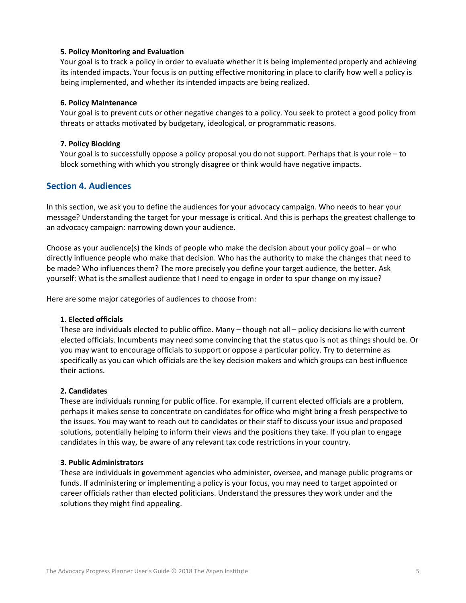#### **5. Policy Monitoring and Evaluation**

Your goal is to track a policy in order to evaluate whether it is being implemented properly and achieving its intended impacts. Your focus is on putting effective monitoring in place to clarify how well a policy is being implemented, and whether its intended impacts are being realized.

#### **6. Policy Maintenance**

Your goal is to prevent cuts or other negative changes to a policy. You seek to protect a good policy from threats or attacks motivated by budgetary, ideological, or programmatic reasons.

#### **7. Policy Blocking**

Your goal is to successfully oppose a policy proposal you do not support. Perhaps that is your role – to block something with which you strongly disagree or think would have negative impacts.

## **Section 4. Audiences**

In this section, we ask you to define the audiences for your advocacy campaign. Who needs to hear your message? Understanding the target for your message is critical. And this is perhaps the greatest challenge to an advocacy campaign: narrowing down your audience.

Choose as your audience(s) the kinds of people who make the decision about your policy goal – or who directly influence people who make that decision. Who has the authority to make the changes that need to be made? Who influences them? The more precisely you define your target audience, the better. Ask yourself: What is the smallest audience that I need to engage in order to spur change on my issue?

Here are some major categories of audiences to choose from:

#### **1. Elected officials**

These are individuals elected to public office. Many – though not all – policy decisions lie with current elected officials. Incumbents may need some convincing that the status quo is not as things should be. Or you may want to encourage officials to support or oppose a particular policy. Try to determine as specifically as you can which officials are the key decision makers and which groups can best influence their actions.

#### **2. Candidates**

These are individuals running for public office. For example, if current elected officials are a problem, perhaps it makes sense to concentrate on candidates for office who might bring a fresh perspective to the issues. You may want to reach out to candidates or their staff to discuss your issue and proposed solutions, potentially helping to inform their views and the positions they take. If you plan to engage candidates in this way, be aware of any relevant tax code restrictions in your country.

#### **3. Public Administrators**

These are individuals in government agencies who administer, oversee, and manage public programs or funds. If administering or implementing a policy is your focus, you may need to target appointed or career officials rather than elected politicians. Understand the pressures they work under and the solutions they might find appealing.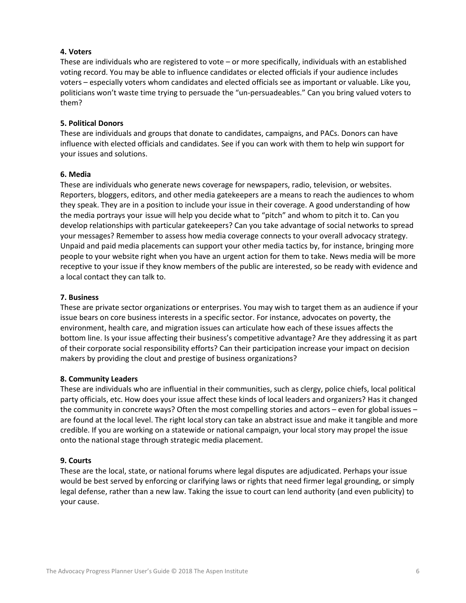#### **4. Voters**

These are individuals who are registered to vote – or more specifically, individuals with an established voting record. You may be able to influence candidates or elected officials if your audience includes voters – especially voters whom candidates and elected officials see as important or valuable. Like you, politicians won't waste time trying to persuade the "un-persuadeables." Can you bring valued voters to them?

#### **5. Political Donors**

These are individuals and groups that donate to candidates, campaigns, and PACs. Donors can have influence with elected officials and candidates. See if you can work with them to help win support for your issues and solutions.

#### **6. Media**

These are individuals who generate news coverage for newspapers, radio, television, or websites. Reporters, bloggers, editors, and other media gatekeepers are a means to reach the audiences to whom they speak. They are in a position to include your issue in their coverage. A good understanding of how the media portrays your issue will help you decide what to "pitch" and whom to pitch it to. Can you develop relationships with particular gatekeepers? Can you take advantage of social networks to spread your messages? Remember to assess how media coverage connects to your overall advocacy strategy. Unpaid and paid media placements can support your other media tactics by, for instance, bringing more people to your website right when you have an urgent action for them to take. News media will be more receptive to your issue if they know members of the public are interested, so be ready with evidence and a local contact they can talk to.

#### **7. Business**

These are private sector organizations or enterprises. You may wish to target them as an audience if your issue bears on core business interests in a specific sector. For instance, advocates on poverty, the environment, health care, and migration issues can articulate how each of these issues affects the bottom line. Is your issue affecting their business's competitive advantage? Are they addressing it as part of their corporate social responsibility efforts? Can their participation increase your impact on decision makers by providing the clout and prestige of business organizations?

#### **8. Community Leaders**

These are individuals who are influential in their communities, such as clergy, police chiefs, local political party officials, etc. How does your issue affect these kinds of local leaders and organizers? Has it changed the community in concrete ways? Often the most compelling stories and actors – even for global issues – are found at the local level. The right local story can take an abstract issue and make it tangible and more credible. If you are working on a statewide or national campaign, your local story may propel the issue onto the national stage through strategic media placement.

#### **9. Courts**

These are the local, state, or national forums where legal disputes are adjudicated. Perhaps your issue would be best served by enforcing or clarifying laws or rights that need firmer legal grounding, or simply legal defense, rather than a new law. Taking the issue to court can lend authority (and even publicity) to your cause.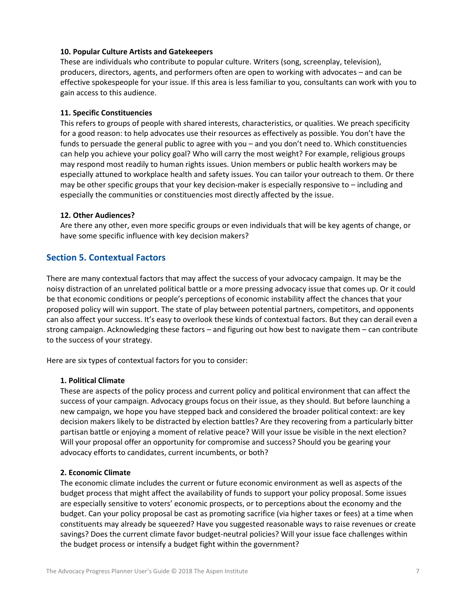#### **10. Popular Culture Artists and Gatekeepers**

These are individuals who contribute to popular culture. Writers (song, screenplay, television), producers, directors, agents, and performers often are open to working with advocates – and can be effective spokespeople for your issue. If this area is less familiar to you, consultants can work with you to gain access to this audience.

#### **11. Specific Constituencies**

This refers to groups of people with shared interests, characteristics, or qualities. We preach specificity for a good reason: to help advocates use their resources as effectively as possible. You don't have the funds to persuade the general public to agree with you – and you don't need to. Which constituencies can help you achieve your policy goal? Who will carry the most weight? For example, religious groups may respond most readily to human rights issues. Union members or public health workers may be especially attuned to workplace health and safety issues. You can tailor your outreach to them. Or there may be other specific groups that your key decision-maker is especially responsive to – including and especially the communities or constituencies most directly affected by the issue.

#### **12. Other Audiences?**

Are there any other, even more specific groups or even individuals that will be key agents of change, or have some specific influence with key decision makers?

## **Section 5. Contextual Factors**

There are many contextual factors that may affect the success of your advocacy campaign. It may be the noisy distraction of an unrelated political battle or a more pressing advocacy issue that comes up. Or it could be that economic conditions or people's perceptions of economic instability affect the chances that your proposed policy will win support. The state of play between potential partners, competitors, and opponents can also affect your success. It's easy to overlook these kinds of contextual factors. But they can derail even a strong campaign. Acknowledging these factors – and figuring out how best to navigate them – can contribute to the success of your strategy.

Here are six types of contextual factors for you to consider:

#### **1. Political Climate**

These are aspects of the policy process and current policy and political environment that can affect the success of your campaign. Advocacy groups focus on their issue, as they should. But before launching a new campaign, we hope you have stepped back and considered the broader political context: are key decision makers likely to be distracted by election battles? Are they recovering from a particularly bitter partisan battle or enjoying a moment of relative peace? Will your issue be visible in the next election? Will your proposal offer an opportunity for compromise and success? Should you be gearing your advocacy efforts to candidates, current incumbents, or both?

#### **2. Economic Climate**

The economic climate includes the current or future economic environment as well as aspects of the budget process that might affect the availability of funds to support your policy proposal. Some issues are especially sensitive to voters' economic prospects, or to perceptions about the economy and the budget. Can your policy proposal be cast as promoting sacrifice (via higher taxes or fees) at a time when constituents may already be squeezed? Have you suggested reasonable ways to raise revenues or create savings? Does the current climate favor budget-neutral policies? Will your issue face challenges within the budget process or intensify a budget fight within the government?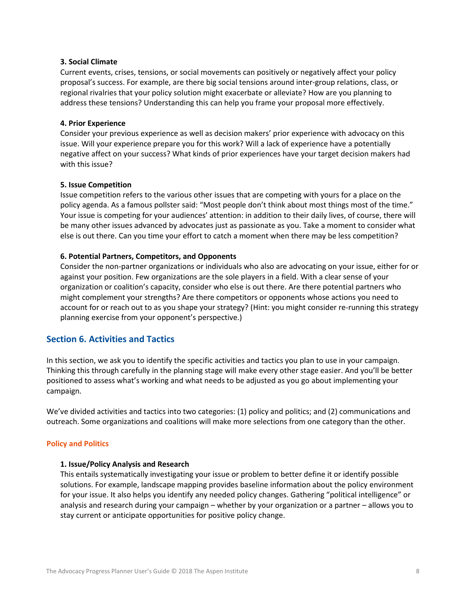#### **3. Social Climate**

Current events, crises, tensions, or social movements can positively or negatively affect your policy proposal's success. For example, are there big social tensions around inter-group relations, class, or regional rivalries that your policy solution might exacerbate or alleviate? How are you planning to address these tensions? Understanding this can help you frame your proposal more effectively.

#### **4. Prior Experience**

Consider your previous experience as well as decision makers' prior experience with advocacy on this issue. Will your experience prepare you for this work? Will a lack of experience have a potentially negative affect on your success? What kinds of prior experiences have your target decision makers had with this issue?

#### **5. Issue Competition**

Issue competition refers to the various other issues that are competing with yours for a place on the policy agenda. As a famous pollster said: "Most people don't think about most things most of the time." Your issue is competing for your audiences' attention: in addition to their daily lives, of course, there will be many other issues advanced by advocates just as passionate as you. Take a moment to consider what else is out there. Can you time your effort to catch a moment when there may be less competition?

#### **6. Potential Partners, Competitors, and Opponents**

Consider the non-partner organizations or individuals who also are advocating on your issue, either for or against your position. Few organizations are the sole players in a field. With a clear sense of your organization or coalition's capacity, consider who else is out there. Are there potential partners who might complement your strengths? Are there competitors or opponents whose actions you need to account for or reach out to as you shape your strategy? (Hint: you might consider re-running this strategy planning exercise from your opponent's perspective.)

## **Section 6. Activities and Tactics**

In this section, we ask you to identify the specific activities and tactics you plan to use in your campaign. Thinking this through carefully in the planning stage will make every other stage easier. And you'll be better positioned to assess what's working and what needs to be adjusted as you go about implementing your campaign.

We've divided activities and tactics into two categories: (1) policy and politics; and (2) communications and outreach. Some organizations and coalitions will make more selections from one category than the other.

#### **Policy and Politics**

#### **1. Issue/Policy Analysis and Research**

This entails systematically investigating your issue or problem to better define it or identify possible solutions. For example, landscape mapping provides baseline information about the policy environment for your issue. It also helps you identify any needed policy changes. Gathering "political intelligence" or analysis and research during your campaign – whether by your organization or a partner – allows you to stay current or anticipate opportunities for positive policy change.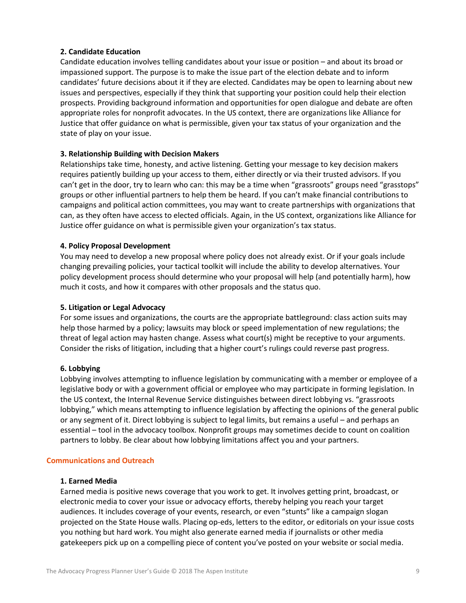#### **2. Candidate Education**

Candidate education involves telling candidates about your issue or position – and about its broad or impassioned support. The purpose is to make the issue part of the election debate and to inform candidates' future decisions about it if they are elected. Candidates may be open to learning about new issues and perspectives, especially if they think that supporting your position could help their election prospects. Providing background information and opportunities for open dialogue and debate are often appropriate roles for nonprofit advocates. In the US context, there are organizations like Alliance for Justice that offer guidance on what is permissible, given your tax status of your organization and the state of play on your issue.

#### **3. Relationship Building with Decision Makers**

Relationships take time, honesty, and active listening. Getting your message to key decision makers requires patiently building up your access to them, either directly or via their trusted advisors. If you can't get in the door, try to learn who can: this may be a time when "grassroots" groups need "grasstops" groups or other influential partners to help them be heard. If you can't make financial contributions to campaigns and political action committees, you may want to create partnerships with organizations that can, as they often have access to elected officials. Again, in the US context, organizations like Alliance for Justice offer guidance on what is permissible given your organization's tax status.

#### **4. Policy Proposal Development**

You may need to develop a new proposal where policy does not already exist. Or if your goals include changing prevailing policies, your tactical toolkit will include the ability to develop alternatives. Your policy development process should determine who your proposal will help (and potentially harm), how much it costs, and how it compares with other proposals and the status quo.

#### **5. Litigation or Legal Advocacy**

For some issues and organizations, the courts are the appropriate battleground: class action suits may help those harmed by a policy; lawsuits may block or speed implementation of new regulations; the threat of legal action may hasten change. Assess what court(s) might be receptive to your arguments. Consider the risks of litigation, including that a higher court's rulings could reverse past progress.

#### **6. Lobbying**

Lobbying involves attempting to influence legislation by communicating with a member or employee of a legislative body or with a government official or employee who may participate in forming legislation. In the US context, the Internal Revenue Service distinguishes between direct lobbying vs. "grassroots lobbying," which means attempting to influence legislation by affecting the opinions of the general public or any segment of it. Direct lobbying is subject to legal limits, but remains a useful – and perhaps an essential – tool in the advocacy toolbox. Nonprofit groups may sometimes decide to count on coalition partners to lobby. Be clear about how lobbying limitations affect you and your partners.

#### **Communications and Outreach**

#### **1. Earned Media**

Earned media is positive news coverage that you work to get. It involves getting print, broadcast, or electronic media to cover your issue or advocacy efforts, thereby helping you reach your target audiences. It includes coverage of your events, research, or even "stunts" like a campaign slogan projected on the State House walls. Placing op-eds, letters to the editor, or editorials on your issue costs you nothing but hard work. You might also generate earned media if journalists or other media gatekeepers pick up on a compelling piece of content you've posted on your website or social media.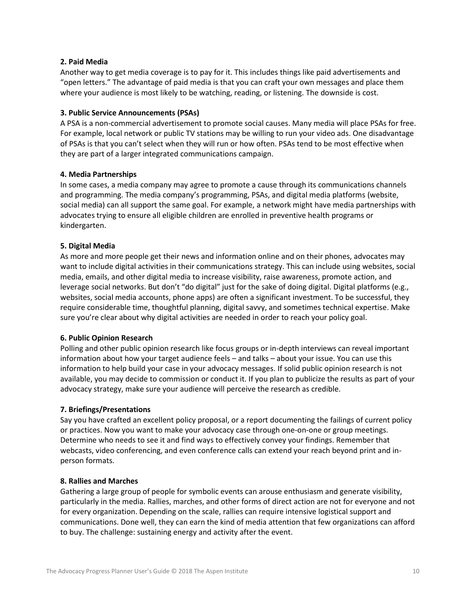#### **2. Paid Media**

Another way to get media coverage is to pay for it. This includes things like paid advertisements and "open letters." The advantage of paid media is that you can craft your own messages and place them where your audience is most likely to be watching, reading, or listening. The downside is cost.

#### **3. Public Service Announcements (PSAs)**

A PSA is a non-commercial advertisement to promote social causes. Many media will place PSAs for free. For example, local network or public TV stations may be willing to run your video ads. One disadvantage of PSAs is that you can't select when they will run or how often. PSAs tend to be most effective when they are part of a larger integrated communications campaign.

#### **4. Media Partnerships**

In some cases, a media company may agree to promote a cause through its communications channels and programming. The media company's programming, PSAs, and digital media platforms (website, social media) can all support the same goal. For example, a network might have media partnerships with advocates trying to ensure all eligible children are enrolled in preventive health programs or kindergarten.

#### **5. Digital Media**

As more and more people get their news and information online and on their phones, advocates may want to include digital activities in their communications strategy. This can include using websites, social media, emails, and other digital media to increase visibility, raise awareness, promote action, and leverage social networks. But don't "do digital" just for the sake of doing digital. Digital platforms (e.g., websites, social media accounts, phone apps) are often a significant investment. To be successful, they require considerable time, thoughtful planning, digital savvy, and sometimes technical expertise. Make sure you're clear about why digital activities are needed in order to reach your policy goal.

#### **6. Public Opinion Research**

Polling and other public opinion research like focus groups or in-depth interviews can reveal important information about how your target audience feels – and talks – about your issue. You can use this information to help build your case in your advocacy messages. If solid public opinion research is not available, you may decide to commission or conduct it. If you plan to publicize the results as part of your advocacy strategy, make sure your audience will perceive the research as credible.

#### **7. Briefings/Presentations**

Say you have crafted an excellent policy proposal, or a report documenting the failings of current policy or practices. Now you want to make your advocacy case through one-on-one or group meetings. Determine who needs to see it and find ways to effectively convey your findings. Remember that webcasts, video conferencing, and even conference calls can extend your reach beyond print and inperson formats.

#### **8. Rallies and Marches**

Gathering a large group of people for symbolic events can arouse enthusiasm and generate visibility, particularly in the media. Rallies, marches, and other forms of direct action are not for everyone and not for every organization. Depending on the scale, rallies can require intensive logistical support and communications. Done well, they can earn the kind of media attention that few organizations can afford to buy. The challenge: sustaining energy and activity after the event.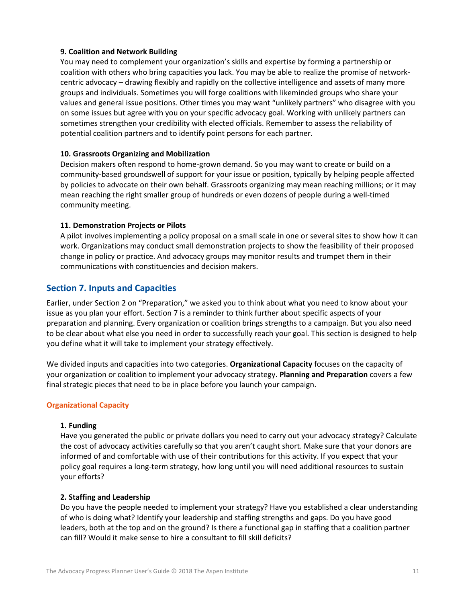#### **9. Coalition and Network Building**

You may need to complement your organization's skills and expertise by forming a partnership or coalition with others who bring capacities you lack. You may be able to realize the promise of networkcentric advocacy – drawing flexibly and rapidly on the collective intelligence and assets of many more groups and individuals. Sometimes you will forge coalitions with likeminded groups who share your values and general issue positions. Other times you may want "unlikely partners" who disagree with you on some issues but agree with you on your specific advocacy goal. Working with unlikely partners can sometimes strengthen your credibility with elected officials. Remember to assess the reliability of potential coalition partners and to identify point persons for each partner.

#### **10. Grassroots Organizing and Mobilization**

Decision makers often respond to home-grown demand. So you may want to create or build on a community-based groundswell of support for your issue or position, typically by helping people affected by policies to advocate on their own behalf. Grassroots organizing may mean reaching millions; or it may mean reaching the right smaller group of hundreds or even dozens of people during a well-timed community meeting.

#### **11. Demonstration Projects or Pilots**

A pilot involves implementing a policy proposal on a small scale in one or several sites to show how it can work. Organizations may conduct small demonstration projects to show the feasibility of their proposed change in policy or practice. And advocacy groups may monitor results and trumpet them in their communications with constituencies and decision makers.

## **Section 7. Inputs and Capacities**

Earlier, under Section 2 on "Preparation," we asked you to think about what you need to know about your issue as you plan your effort. Section 7 is a reminder to think further about specific aspects of your preparation and planning. Every organization or coalition brings strengths to a campaign. But you also need to be clear about what else you need in order to successfully reach your goal. This section is designed to help you define what it will take to implement your strategy effectively.

We divided inputs and capacities into two categories. **Organizational Capacity** focuses on the capacity of your organization or coalition to implement your advocacy strategy. **Planning and Preparation** covers a few final strategic pieces that need to be in place before you launch your campaign.

#### **Organizational Capacity**

#### **1. Funding**

Have you generated the public or private dollars you need to carry out your advocacy strategy? Calculate the cost of advocacy activities carefully so that you aren't caught short. Make sure that your donors are informed of and comfortable with use of their contributions for this activity. If you expect that your policy goal requires a long-term strategy, how long until you will need additional resources to sustain your efforts?

#### **2. Staffing and Leadership**

Do you have the people needed to implement your strategy? Have you established a clear understanding of who is doing what? Identify your leadership and staffing strengths and gaps. Do you have good leaders, both at the top and on the ground? Is there a functional gap in staffing that a coalition partner can fill? Would it make sense to hire a consultant to fill skill deficits?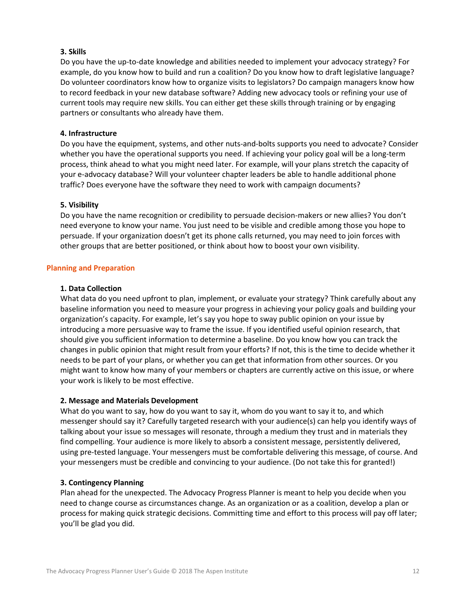#### **3. Skills**

Do you have the up-to-date knowledge and abilities needed to implement your advocacy strategy? For example, do you know how to build and run a coalition? Do you know how to draft legislative language? Do volunteer coordinators know how to organize visits to legislators? Do campaign managers know how to record feedback in your new database software? Adding new advocacy tools or refining your use of current tools may require new skills. You can either get these skills through training or by engaging partners or consultants who already have them.

#### **4. Infrastructure**

Do you have the equipment, systems, and other nuts-and-bolts supports you need to advocate? Consider whether you have the operational supports you need. If achieving your policy goal will be a long-term process, think ahead to what you might need later. For example, will your plans stretch the capacity of your e-advocacy database? Will your volunteer chapter leaders be able to handle additional phone traffic? Does everyone have the software they need to work with campaign documents?

#### **5. Visibility**

Do you have the name recognition or credibility to persuade decision-makers or new allies? You don't need everyone to know your name. You just need to be visible and credible among those you hope to persuade. If your organization doesn't get its phone calls returned, you may need to join forces with other groups that are better positioned, or think about how to boost your own visibility.

#### **Planning and Preparation**

#### **1. Data Collection**

What data do you need upfront to plan, implement, or evaluate your strategy? Think carefully about any baseline information you need to measure your progress in achieving your policy goals and building your organization's capacity. For example, let's say you hope to sway public opinion on your issue by introducing a more persuasive way to frame the issue. If you identified useful opinion research, that should give you sufficient information to determine a baseline. Do you know how you can track the changes in public opinion that might result from your efforts? If not, this is the time to decide whether it needs to be part of your plans, or whether you can get that information from other sources. Or you might want to know how many of your members or chapters are currently active on this issue, or where your work is likely to be most effective.

#### **2. Message and Materials Development**

What do you want to say, how do you want to say it, whom do you want to say it to, and which messenger should say it? Carefully targeted research with your audience(s) can help you identify ways of talking about your issue so messages will resonate, through a medium they trust and in materials they find compelling. Your audience is more likely to absorb a consistent message, persistently delivered, using pre-tested language. Your messengers must be comfortable delivering this message, of course. And your messengers must be credible and convincing to your audience. (Do not take this for granted!)

#### **3. Contingency Planning**

Plan ahead for the unexpected. The Advocacy Progress Planner is meant to help you decide when you need to change course as circumstances change. As an organization or as a coalition, develop a plan or process for making quick strategic decisions. Committing time and effort to this process will pay off later; you'll be glad you did.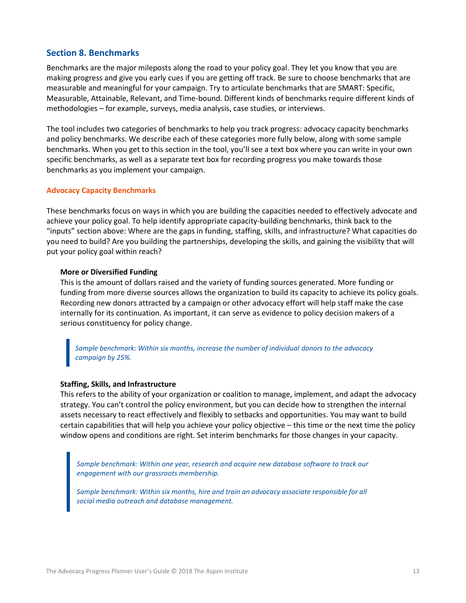### **Section 8. Benchmarks**

Benchmarks are the major mileposts along the road to your policy goal. They let you know that you are making progress and give you early cues if you are getting off track. Be sure to choose benchmarks that are measurable and meaningful for your campaign. Try to articulate benchmarks that are SMART: Specific, Measurable, Attainable, Relevant, and Time-bound. Different kinds of benchmarks require different kinds of methodologies – for example, surveys, media analysis, case studies, or interviews.

The tool includes two categories of benchmarks to help you track progress: advocacy capacity benchmarks and policy benchmarks. We describe each of these categories more fully below, along with some sample benchmarks. When you get to this section in the tool, you'll see a text box where you can write in your own specific benchmarks, as well as a separate text box for recording progress you make towards those benchmarks as you implement your campaign.

#### **Advocacy Capacity Benchmarks**

These benchmarks focus on ways in which you are building the capacities needed to effectively advocate and achieve your policy goal. To help identify appropriate capacity-building benchmarks, think back to the "inputs" section above: Where are the gaps in funding, staffing, skills, and infrastructure? What capacities do you need to build? Are you building the partnerships, developing the skills, and gaining the visibility that will put your policy goal within reach?

#### **More or Diversified Funding**

This is the amount of dollars raised and the variety of funding sources generated. More funding or funding from more diverse sources allows the organization to build its capacity to achieve its policy goals. Recording new donors attracted by a campaign or other advocacy effort will help staff make the case internally for its continuation. As important, it can serve as evidence to policy decision makers of a serious constituency for policy change.

*Sample benchmark: Within six months, increase the number of individual donors to the advocacy campaign by 25%.*

#### **Staffing, Skills, and Infrastructure**

This refers to the ability of your organization or coalition to manage, implement, and adapt the advocacy strategy. You can't control the policy environment, but you can decide how to strengthen the internal assets necessary to react effectively and flexibly to setbacks and opportunities. You may want to build certain capabilities that will help you achieve your policy objective – this time or the next time the policy window opens and conditions are right. Set interim benchmarks for those changes in your capacity.

Sample benchmark: Within one year, research and acquire new database software to track our *engagement with our grassroots membership.* 

*Sample benchmark: Within six months, hire and train an advocacy associate responsible for all social media outreach and database management.*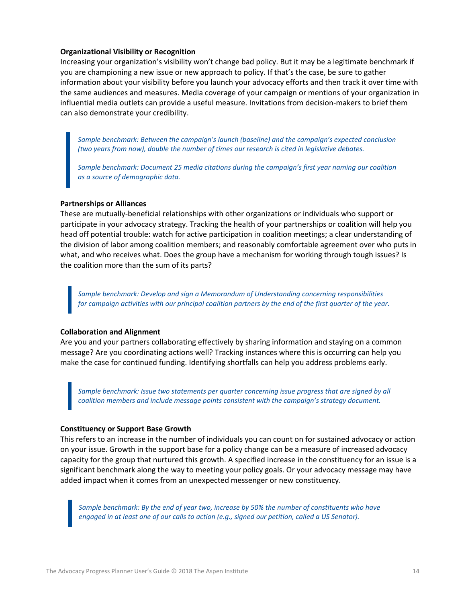#### **Organizational Visibility or Recognition**

Increasing your organization's visibility won't change bad policy. But it may be a legitimate benchmark if you are championing a new issue or new approach to policy. If that's the case, be sure to gather information about your visibility before you launch your advocacy efforts and then track it over time with the same audiences and measures. Media coverage of your campaign or mentions of your organization in influential media outlets can provide a useful measure. Invitations from decision-makers to brief them can also demonstrate your credibility.

*Sample benchmark: Between the campaign's launch (baseline) and the campaign's expected conclusion (two years from now), double the number of times our research is cited in legislative debates.* 

*Sample benchmark: Document 25 media citations during the campaign's first year naming our coalition as a source of demographic data.*

#### **Partnerships or Alliances**

These are mutually-beneficial relationships with other organizations or individuals who support or participate in your advocacy strategy. Tracking the health of your partnerships or coalition will help you head off potential trouble: watch for active participation in coalition meetings; a clear understanding of the division of labor among coalition members; and reasonably comfortable agreement over who puts in what, and who receives what. Does the group have a mechanism for working through tough issues? Is the coalition more than the sum of its parts?

*Sample benchmark: Develop and sign a Memorandum of Understanding concerning responsibilities for campaign activities with our principal coalition partners by the end of the first quarter of the year.*

#### **Collaboration and Alignment**

Are you and your partners collaborating effectively by sharing information and staying on a common message? Are you coordinating actions well? Tracking instances where this is occurring can help you make the case for continued funding. Identifying shortfalls can help you address problems early.

*Sample benchmark: Issue two statements per quarter concerning issue progress that are signed by all coalition members and include message points consistent with the campaign's strategy document.*

#### **Constituency or Support Base Growth**

This refers to an increase in the number of individuals you can count on for sustained advocacy or action on your issue. Growth in the support base for a policy change can be a measure of increased advocacy capacity for the group that nurtured this growth. A specified increase in the constituency for an issue is a significant benchmark along the way to meeting your policy goals. Or your advocacy message may have added impact when it comes from an unexpected messenger or new constituency.

*Sample benchmark: By the end of year two, increase by 50% the number of constituents who have engaged in at least one of our calls to action (e.g., signed our petition, called a US Senator).*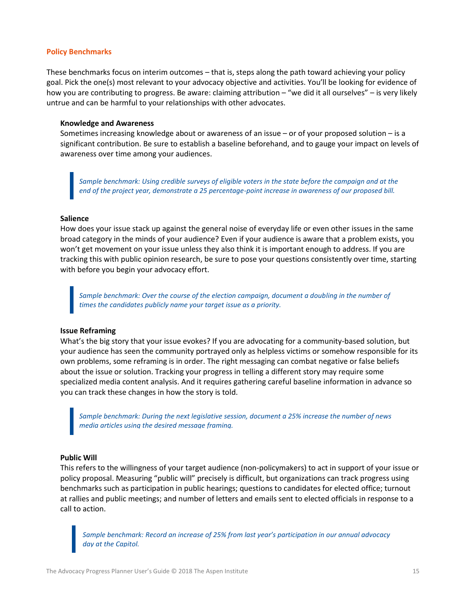#### **Policy Benchmarks**

These benchmarks focus on interim outcomes – that is, steps along the path toward achieving your policy goal. Pick the one(s) most relevant to your advocacy objective and activities. You'll be looking for evidence of how you are contributing to progress. Be aware: claiming attribution – "we did it all ourselves" – is very likely untrue and can be harmful to your relationships with other advocates.

#### **Knowledge and Awareness**

Sometimes increasing knowledge about or awareness of an issue – or of your proposed solution – is a significant contribution. Be sure to establish a baseline beforehand, and to gauge your impact on levels of awareness over time among your audiences.

*Sample benchmark: Using credible surveys of eligible voters in the state before the campaign and at the end of the project year, demonstrate a 25 percentage-point increase in awareness of our proposed bill.*

#### **Salience**

How does your issue stack up against the general noise of everyday life or even other issues in the same broad category in the minds of your audience? Even if your audience is aware that a problem exists, you won't get movement on your issue unless they also think it is important enough to address. If you are tracking this with public opinion research, be sure to pose your questions consistently over time, starting with before you begin your advocacy effort.

Sample benchmark: Over the course of the election campaign, document a doubling in the number of *times the candidates publicly name your target issue as a priority.*

#### **Issue Reframing**

What's the big story that your issue evokes? If you are advocating for a community-based solution, but your audience has seen the community portrayed only as helpless victims or somehow responsible for its own problems, some reframing is in order. The right messaging can combat negative or false beliefs about the issue or solution. Tracking your progress in telling a different story may require some specialized media content analysis. And it requires gathering careful baseline information in advance so you can track these changes in how the story is told.

*Sample benchmark: During the next legislative session, document a 25% increase the number of news media articles using the desired message framing.*

#### **Public Will**

This refers to the willingness of your target audience (non-policymakers) to act in support of your issue or policy proposal. Measuring "public will" precisely is difficult, but organizations can track progress using benchmarks such as participation in public hearings; questions to candidates for elected office; turnout at rallies and public meetings; and number of letters and emails sent to elected officials in response to a call to action.

*Sample benchmark: Record an increase of 25% from last year's participation in our annual advocacy day at the Capitol.*